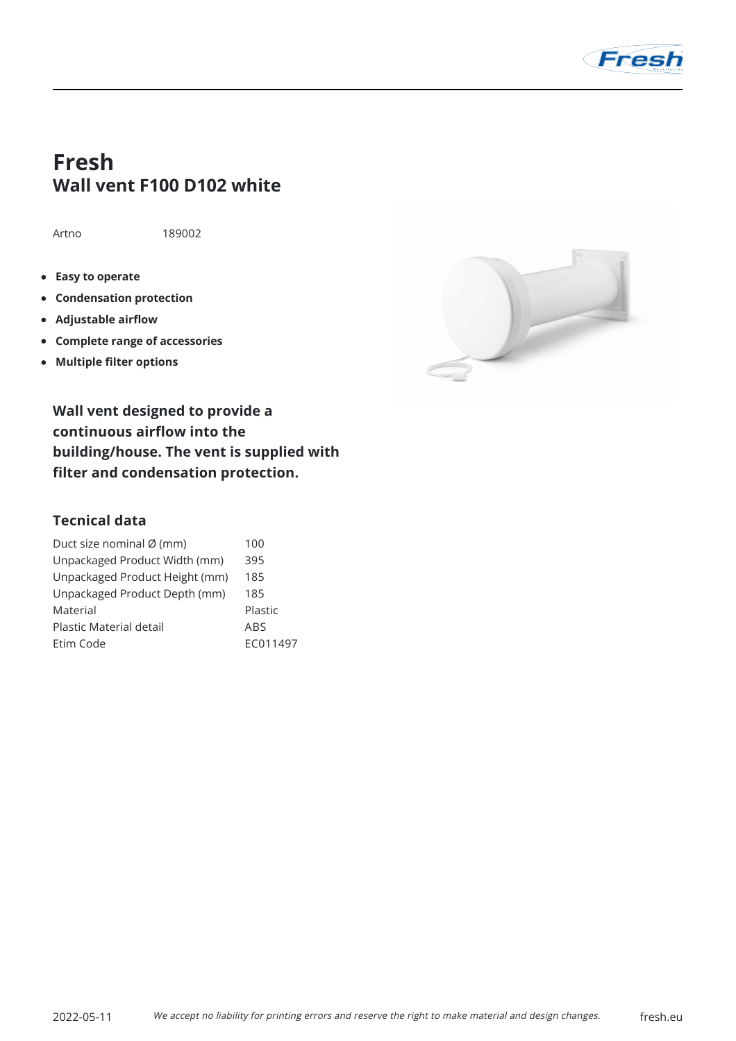

## **Fresh Wall vent F100 D102 white**

Artno 189002

- **Easy to operate**
- **Condensation protection**
- **Adjustable airflow**
- **Complete range of accessories**
- **Multiple filter options**



**Wall vent designed to provide a continuous airflow into the building/house. The vent is supplied with filter and condensation protection.**

## **Tecnical data**

| Duct size nominal Ø (mm)       | 100        |
|--------------------------------|------------|
| Unpackaged Product Width (mm)  | 395        |
| Unpackaged Product Height (mm) | 185        |
| Unpackaged Product Depth (mm)  | 185        |
| Material                       | Plastic    |
| Plastic Material detail        | <b>ABS</b> |
| Etim Code                      | EC011497   |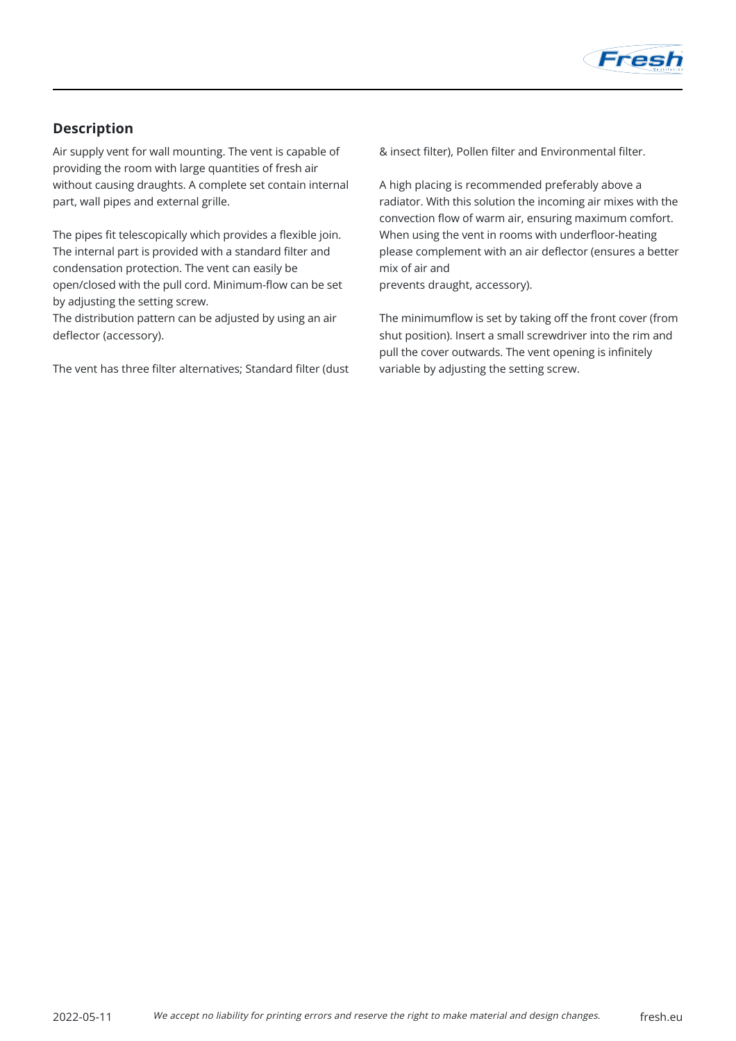

## **Description**

Air supply vent for wall mounting. The vent is capable of providing the room with large quantities of fresh air without causing draughts. A complete set contain internal part, wall pipes and external grille.

The pipes fit telescopically which provides a flexible join. The internal part is provided with a standard filter and condensation protection. The vent can easily be open/closed with the pull cord. Minimum-flow can be set by adjusting the setting screw.

The distribution pattern can be adjusted by using an air deflector (accessory).

The vent has three filter alternatives; Standard filter (dust

& insect filter), Pollen filter and Environmental filter.

A high placing is recommended preferably above a radiator. With this solution the incoming air mixes with the convection flow of warm air, ensuring maximum comfort. When using the vent in rooms with underfloor-heating please complement with an air deflector (ensures a better mix of air and

prevents draught, accessory).

The minimumflow is set by taking off the front cover (from shut position). Insert a small screwdriver into the rim and pull the cover outwards. The vent opening is infinitely variable by adjusting the setting screw.